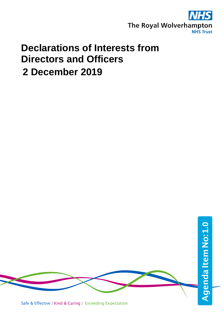

## **Declarations of Interests from Directors and Officers 2 December 2019**

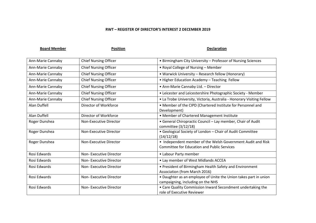## **RWT – REGISTER OF DIRECTOR'S INTEREST 2 DECEMBER 2019**

**Board Member Construction Position Position Declaration Declaration** 

| Ann-Marie Cannaby | <b>Chief Nursing Officer</b> | • Birmingham City University - Professor of Nursing Sciences                                                      |
|-------------------|------------------------------|-------------------------------------------------------------------------------------------------------------------|
| Ann-Marie Cannaby | <b>Chief Nursing Officer</b> | • Royal College of Nursing - Member                                                                               |
| Ann-Marie Cannaby | <b>Chief Nursing Officer</b> | • Warwick University - Research fellow (Honorary)                                                                 |
| Ann-Marie Cannaby | <b>Chief Nursing Officer</b> | • Higher Education Academy - Teaching Fellow                                                                      |
| Ann-Marie Cannaby | <b>Chief Nursing Officer</b> | • Ann-Marie Cannaby Ltd. - Director                                                                               |
| Ann-Marie Cannaby | <b>Chief Nursing Officer</b> | • Leicester and Leicestershire Photographic Society - Member                                                      |
| Ann-Marie Cannaby | <b>Chief Nursing Officer</b> | • La Trobe University, Victoria, Australia - Honorary Visiting Fellow                                             |
| Alan Duffell      | Director of Workforce        | • Member of the CIPD (Chartered Institute for Personnel and<br>Development)                                       |
| Alan Duffell      | Director of Workforce        | • Member of Chartered Management Institute                                                                        |
| Roger Dunshea     | Non-Executive Director       | • General Chiropractic Council - Lay member, Chair of Audit<br>committee (3/12/18)                                |
| Roger Dunshea     | Non-Executive Director       | • Geological Society of London - Chair of Audit Committee<br>(14/12/18)                                           |
| Roger Dunshea     | Non-Executive Director       | • Independent member of the Welsh Government Audit and Risk<br><b>Committee for Education and Public Services</b> |
| Rosi Edwards      | Non-Executive Director       | • Labour Party member                                                                                             |
| Rosi Edwards      | Non-Executive Director       | • Lay member of West Midlands ACCEA                                                                               |
| Rosi Edwards      | Non-Executive Director       | • President of Birmingham Health Safety and Environment<br>Association (from March 2016)                          |
| Rosi Edwards      | Non-Executive Director       | • Daughter as an employee of Unite the Union takes part in union<br>campaigning, including on the NHS             |
| Rosi Edwards      | Non-Executive Director       | • Care Quality Commission Inward Secondment undertaking the<br>role of Executive Reviewer                         |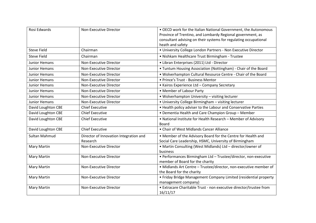| Rosi Edwards         | Non-Executive Director                             | . OECD work for the Italian National Government, the Autonomous<br>Province of Trentino, and Lombardy Regional government, as<br>consultant advising on their systems for regulating occupational<br>heath and safety |
|----------------------|----------------------------------------------------|-----------------------------------------------------------------------------------------------------------------------------------------------------------------------------------------------------------------------|
| <b>Steve Field</b>   | Chairman                                           | • University College London Partners - Non Executive Director                                                                                                                                                         |
| <b>Steve Field</b>   | Chairman                                           | • Nishkam Healthcare Trust Birmingham - Trustee                                                                                                                                                                       |
| <b>Junior Hemans</b> | Non-Executive Director                             | · Libran Enterprises (2011) Ltd - Director                                                                                                                                                                            |
| <b>Junior Hemans</b> | Non-Executive Director                             | • Tuntum Housing Association (Nottingham) - Chair of the Board                                                                                                                                                        |
| <b>Junior Hemans</b> | Non-Executive Director                             | . Wolverhampton Cultural Resource Centre - Chair of the Board                                                                                                                                                         |
| <b>Junior Hemans</b> | Non-Executive Director                             | • Prince's Trust - Business Mentor                                                                                                                                                                                    |
| Junior Hemans        | Non-Executive Director                             | • Kairos Experience Ltd - Company Secretary                                                                                                                                                                           |
| <b>Junior Hemans</b> | Non-Executive Director                             | • Member of Labour Party                                                                                                                                                                                              |
| Junior Hemans        | Non-Executive Director                             | • Wolverhampton University - visiting lecturer                                                                                                                                                                        |
| <b>Junior Hemans</b> | Non-Executive Director                             | • University College Birmingham - visiting lecturer                                                                                                                                                                   |
| David Loughton CBE   | <b>Chief Executive</b>                             | • Health policy adviser to the Labour and Conservative Parties                                                                                                                                                        |
| David Loughton CBE   | <b>Chief Executive</b>                             | • Dementia Health and Care Champion Group - Member                                                                                                                                                                    |
| David Loughton CBE   | <b>Chief Executive</b>                             | • National Institute for Health Research - Member of Advisory<br>Board                                                                                                                                                |
| David Loughton CBE   | <b>Chief Executive</b>                             | • Chair of West Midlands Cancer Alliance                                                                                                                                                                              |
| <b>Sultan Mahmud</b> | Director of Innovation Integration and<br>Research | • Member of the Advisory Board for the Centre for Health and<br>Social Care Leadership, HSMC, University of Birmingham                                                                                                |
| <b>Mary Martin</b>   | Non-Executive Director                             | • Martin Consulting (West Midlands) Ltd - director/owner of<br>business                                                                                                                                               |
| <b>Mary Martin</b>   | Non-Executive Director                             | • Performances Birmingham Ltd - Trustee/director, non-executive<br>member of Board for the charity                                                                                                                    |
| <b>Mary Martin</b>   | Non-Executive Director                             | · Midlands Art Centre - Trustee/director, non-executive member of<br>the Board for the charity                                                                                                                        |
| <b>Mary Martin</b>   | Non-Executive Director                             | • Friday Bridge Management Company Limited (residential property<br>management company)                                                                                                                               |
| <b>Mary Martin</b>   | <b>Non-Executive Director</b>                      | • Extracare Charitable Trust - non executive director/trustee from<br>16/11/17                                                                                                                                        |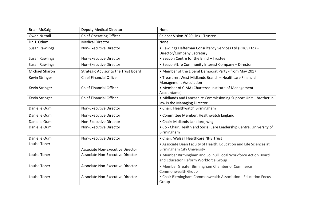| <b>Brian McKaig</b>   | <b>Deputy Medical Director</b>          | None                                                                  |
|-----------------------|-----------------------------------------|-----------------------------------------------------------------------|
| <b>Gwen Nuttall</b>   | <b>Chief Operating Officer</b>          | Calabar Vision 2020 Link - Trustee                                    |
| Dr. J. Odum           | <b>Medical Director</b>                 | None                                                                  |
| <b>Susan Rawlings</b> | Non-Executive Director                  | • Rawlings Heffernan Consultancy Services Ltd (RHCS Ltd) -            |
|                       |                                         | Director/Company Secretary                                            |
| <b>Susan Rawlings</b> | Non-Executive Director                  | • Beacon Centre for the Blind - Trustee                               |
| <b>Susan Rawlings</b> | Non-Executive Director                  | • Beacon4Life Community Interest Company - Director                   |
| Michael Sharon        | Strategic Advisor to the Trust Board    | • Member of the Liberal Democrat Party - from May 2017                |
| <b>Kevin Stringer</b> | <b>Chief Financial Officer</b>          | • Treasurer, West Midlands Branch - Healthcare Financial              |
|                       |                                         | <b>Management Association</b>                                         |
| Kevin Stringer        | <b>Chief Financial Officer</b>          | • Member of CIMA (Chartered Institute of Management                   |
|                       |                                         | Accountants)                                                          |
| Kevin Stringer        | <b>Chief Financial Officer</b>          | • Midlands and Lancashire Commissioning Support Unit - brother in     |
|                       |                                         | law is the Managing Director                                          |
| Danielle Oum          | Non-Executive Director                  | • Chair: Healthwatch Birmingham                                       |
| Danielle Oum          | Non-Executive Director                  | • Committee Member: Healthwatch England                               |
|                       |                                         |                                                                       |
| Danielle Oum          | Non-Executive Director                  | • Chair: Midlands Landlord, whg                                       |
| Danielle Oum          | Non-Executive Director                  | . Co - Chair, Health and Social Care Leadership Centre, University of |
|                       |                                         | Birmingham                                                            |
| Danielle Oum          | Non-Executive Director                  | • Chair: Walsall Healthcare NHS Trust                                 |
| Louise Toner          |                                         | • Associate Dean Faculty of Health, Education and Life Sciences at    |
|                       | <b>Associate Non-Executive Director</b> | <b>Birmingham City University</b>                                     |
| Louise Toner          | Associate Non-Executive Director        | • Member Birmingham and Solihull Local Workforce Action Board         |
|                       |                                         | and Education Reform Workforce Group                                  |
| <b>Louise Toner</b>   | <b>Associate Non-Executive Director</b> |                                                                       |
|                       |                                         | • Member Greater Birmingham Chamber of Commerce<br>Commonwealth Group |
| Louise Toner          | Associate Non-Executive Director        | • Chair Birmingham Commonwealth Association - Education Focus         |